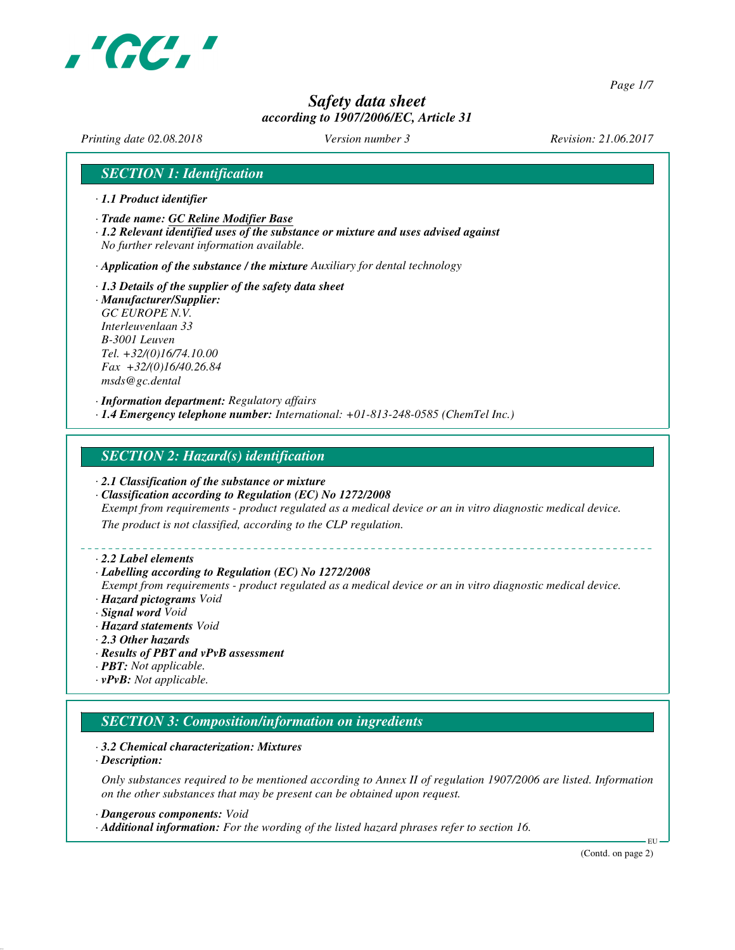

*Page 1/7*

# *Safety data sheet according to 1907/2006/EC, Article 31*

*Printing date 02.08.2018 Version number 3 Revision: 21.06.2017*

## *SECTION 1: Identification*

- *· 1.1 Product identifier*
- *· Trade name: GC Reline Modifier Base*
- *· 1.2 Relevant identified uses of the substance or mixture and uses advised against No further relevant information available.*

*· Application of the substance / the mixture Auxiliary for dental technology*

- *· 1.3 Details of the supplier of the safety data sheet · Manufacturer/Supplier: GC EUROPE N.V. Interleuvenlaan 33*
- *B-3001 Leuven Tel. +32/(0)16/74.10.00 Fax +32/(0)16/40.26.84 msds@gc.dental*

*· Information department: Regulatory affairs · 1.4 Emergency telephone number: International: +01-813-248-0585 (ChemTel Inc.)*

## *SECTION 2: Hazard(s) identification*

- *· 2.1 Classification of the substance or mixture*
- *· Classification according to Regulation (EC) No 1272/2008*

*Exempt from requirements - product regulated as a medical device or an in vitro diagnostic medical device.*

*The product is not classified, according to the CLP regulation.*

#### *· 2.2 Label elements*

#### *· Labelling according to Regulation (EC) No 1272/2008*

*Exempt from requirements - product regulated as a medical device or an in vitro diagnostic medical device. · Hazard pictograms Void*

- *· Signal word Void*
- *· Hazard statements Void*
- *· 2.3 Other hazards*
- *· Results of PBT and vPvB assessment*
- *· PBT: Not applicable.*
- *· vPvB: Not applicable.*

# *SECTION 3: Composition/information on ingredients*

#### *· 3.2 Chemical characterization: Mixtures*

*· Description:*

*Only substances required to be mentioned according to Annex II of regulation 1907/2006 are listed. Information on the other substances that may be present can be obtained upon request.*

*· Dangerous components: Void*

*· Additional information: For the wording of the listed hazard phrases refer to section 16.*

(Contd. on page 2)

EU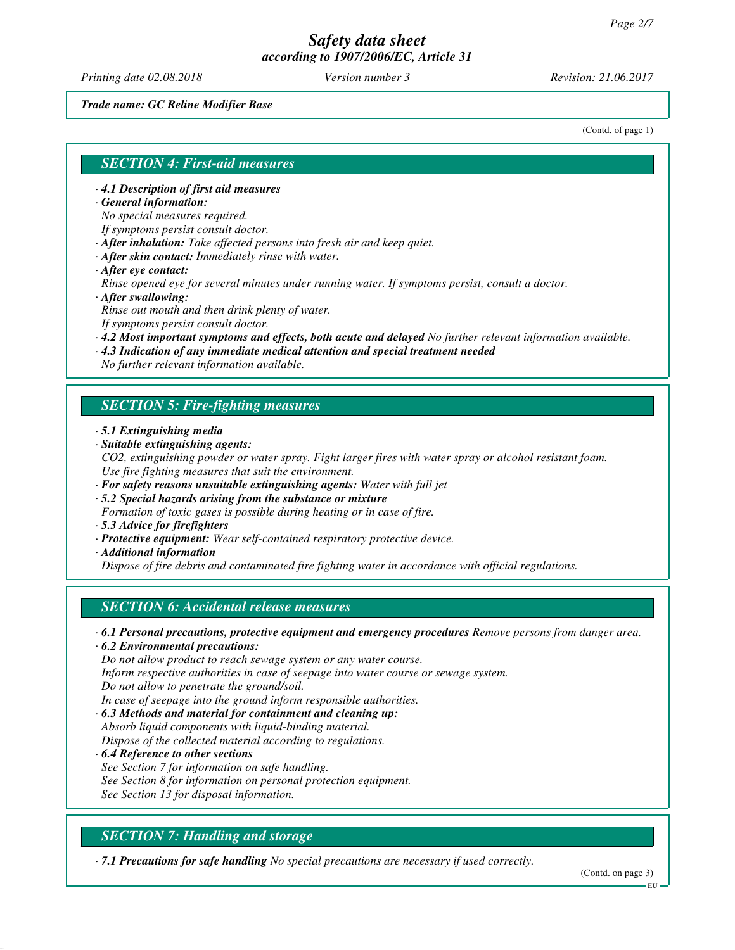*Printing date 02.08.2018 Version number 3 Revision: 21.06.2017*

*Trade name: GC Reline Modifier Base*

(Contd. of page 1)

## *SECTION 4: First-aid measures*

- *· 4.1 Description of first aid measures*
- *· General information:*

*No special measures required.*

*If symptoms persist consult doctor.*

- *· After inhalation: Take affected persons into fresh air and keep quiet.*
- *· After skin contact: Immediately rinse with water.*
- *· After eye contact:*

*Rinse opened eye for several minutes under running water. If symptoms persist, consult a doctor. · After swallowing:*

*Rinse out mouth and then drink plenty of water.*

*If symptoms persist consult doctor.*

- *· 4.2 Most important symptoms and effects, both acute and delayed No further relevant information available.*
- *· 4.3 Indication of any immediate medical attention and special treatment needed*

*No further relevant information available.*

## *SECTION 5: Fire-fighting measures*

- *· 5.1 Extinguishing media*
- *· Suitable extinguishing agents:*
- *CO2, extinguishing powder or water spray. Fight larger fires with water spray or alcohol resistant foam. Use fire fighting measures that suit the environment.*
- *· For safety reasons unsuitable extinguishing agents: Water with full jet*
- *· 5.2 Special hazards arising from the substance or mixture*
- *Formation of toxic gases is possible during heating or in case of fire.*
- *· 5.3 Advice for firefighters*
- *· Protective equipment: Wear self-contained respiratory protective device.*
- *· Additional information*

*Dispose of fire debris and contaminated fire fighting water in accordance with official regulations.*

## *SECTION 6: Accidental release measures*

*· 6.1 Personal precautions, protective equipment and emergency procedures Remove persons from danger area.*

*· 6.2 Environmental precautions:*

*Do not allow product to reach sewage system or any water course.*

*Inform respective authorities in case of seepage into water course or sewage system.*

*Do not allow to penetrate the ground/soil.*

*In case of seepage into the ground inform responsible authorities.*

*· 6.3 Methods and material for containment and cleaning up: Absorb liquid components with liquid-binding material.*

*Dispose of the collected material according to regulations.*

*· 6.4 Reference to other sections See Section 7 for information on safe handling. See Section 8 for information on personal protection equipment. See Section 13 for disposal information.*

# *SECTION 7: Handling and storage*

*· 7.1 Precautions for safe handling No special precautions are necessary if used correctly.*

(Contd. on page 3)

EU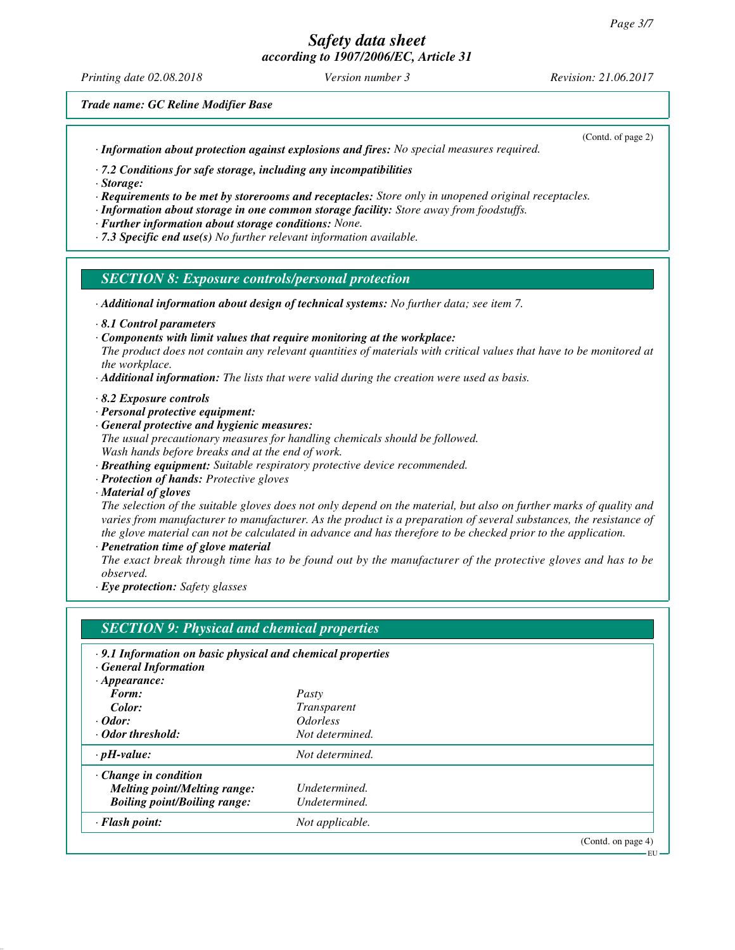*Printing date 02.08.2018 Version number 3 Revision: 21.06.2017*

*Trade name: GC Reline Modifier Base*

*· Information about protection against explosions and fires: No special measures required.*

(Contd. of page 2)

EU

*· 7.2 Conditions for safe storage, including any incompatibilities*

*· Storage:*

*· Requirements to be met by storerooms and receptacles: Store only in unopened original receptacles.*

- *· Information about storage in one common storage facility: Store away from foodstuffs.*
- *· Further information about storage conditions: None.*
- *· 7.3 Specific end use(s) No further relevant information available.*

## *SECTION 8: Exposure controls/personal protection*

- *· Additional information about design of technical systems: No further data; see item 7.*
- *· 8.1 Control parameters*
- *· Components with limit values that require monitoring at the workplace:*
- *The product does not contain any relevant quantities of materials with critical values that have to be monitored at the workplace.*
- *· Additional information: The lists that were valid during the creation were used as basis.*
- *· 8.2 Exposure controls*
- *· Personal protective equipment:*
- *· General protective and hygienic measures:*
- *The usual precautionary measures for handling chemicals should be followed. Wash hands before breaks and at the end of work.*
- *· Breathing equipment: Suitable respiratory protective device recommended.*
- *· Protection of hands: Protective gloves*
- *· Material of gloves*

*The selection of the suitable gloves does not only depend on the material, but also on further marks of quality and varies from manufacturer to manufacturer. As the product is a preparation of several substances, the resistance of the glove material can not be calculated in advance and has therefore to be checked prior to the application.*

*· Penetration time of glove material*

*The exact break through time has to be found out by the manufacturer of the protective gloves and has to be observed.*

*· Eye protection: Safety glasses*

| $\cdot$ 9.1 Information on basic physical and chemical properties |                               |  |
|-------------------------------------------------------------------|-------------------------------|--|
| <b>General Information</b>                                        |                               |  |
| $\cdot$ Appearance:                                               |                               |  |
| Form:                                                             | Pasty                         |  |
| Color:                                                            | <i>Transparent</i>            |  |
| $\cdot$ Odor:                                                     | <i><u><b>Odorless</b></u></i> |  |
| · Odor threshold:                                                 | Not determined.               |  |
| $\cdot$ pH-value:                                                 | Not determined.               |  |
| $\cdot$ Change in condition                                       |                               |  |
| <b>Melting point/Melting range:</b>                               | Undetermined.                 |  |
| <b>Boiling point/Boiling range:</b>                               | Undetermined.                 |  |
| $\cdot$ Flash point:                                              | Not applicable.               |  |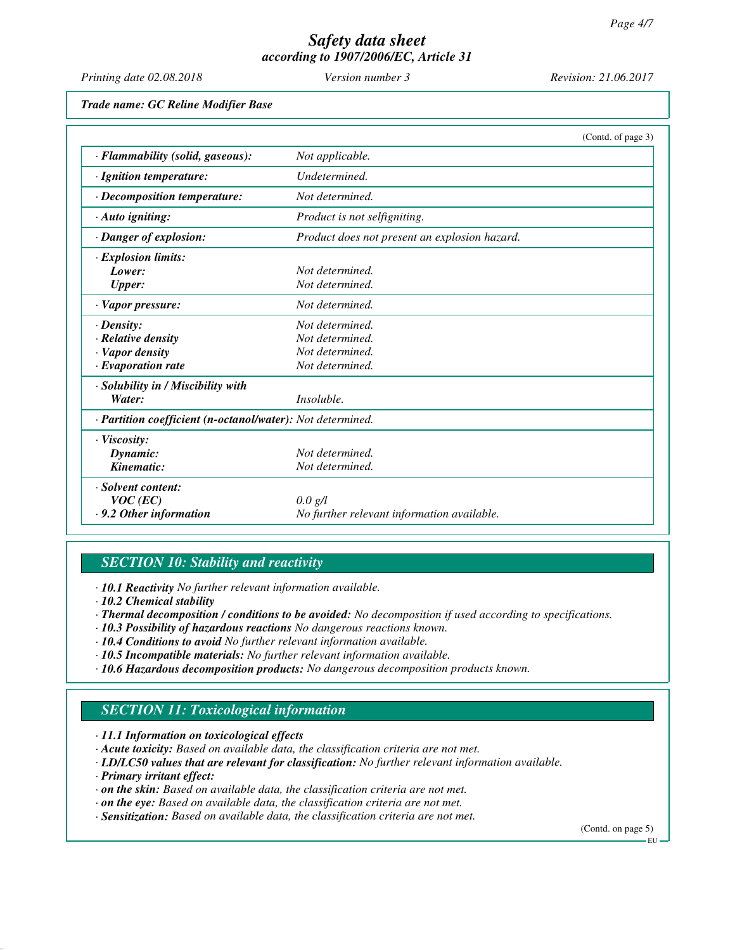| Printing date 02.08.2018                                                              | Version number 3                                                         | Revision: 21.06.2017 |  |  |
|---------------------------------------------------------------------------------------|--------------------------------------------------------------------------|----------------------|--|--|
| Trade name: GC Reline Modifier Base                                                   |                                                                          |                      |  |  |
|                                                                                       |                                                                          | (Contd. of page 3)   |  |  |
| · Flammability (solid, gaseous):                                                      | Not applicable.                                                          |                      |  |  |
| · Ignition temperature:                                                               | Undetermined.                                                            |                      |  |  |
| · Decomposition temperature:                                                          | Not determined.                                                          |                      |  |  |
| · Auto igniting:                                                                      | Product is not selfigniting.                                             |                      |  |  |
| · Danger of explosion:                                                                | Product does not present an explosion hazard.                            |                      |  |  |
| · Explosion limits:<br>Lower:<br><b>Upper:</b><br>· Vapor pressure:                   | Not determined.<br>Not determined.<br>Not determined.                    |                      |  |  |
| $\cdot$ Density:<br>· Relative density<br>· Vapor density<br>$\cdot$ Evaporation rate | Not determined.<br>Not determined.<br>Not determined.<br>Not determined. |                      |  |  |
| · Solubility in / Miscibility with<br>Water:                                          | Insoluble.                                                               |                      |  |  |
| · Partition coefficient (n-octanol/water): Not determined.                            |                                                                          |                      |  |  |
| · Viscosity:<br>Dynamic:<br>Kinematic:                                                | Not determined.<br>Not determined.                                       |                      |  |  |
| · Solvent content:<br>$VOC$ (EC)<br>$\cdot$ 9.2 Other information                     | 0.0 g/l<br>No further relevant information available.                    |                      |  |  |

# *SECTION 10: Stability and reactivity*

- *· 10.1 Reactivity No further relevant information available.*
- *· 10.2 Chemical stability*
- *· Thermal decomposition / conditions to be avoided: No decomposition if used according to specifications.*
- *· 10.3 Possibility of hazardous reactions No dangerous reactions known.*
- *· 10.4 Conditions to avoid No further relevant information available.*
- *· 10.5 Incompatible materials: No further relevant information available.*
- *· 10.6 Hazardous decomposition products: No dangerous decomposition products known.*

# *SECTION 11: Toxicological information*

*· 11.1 Information on toxicological effects*

- *· Acute toxicity: Based on available data, the classification criteria are not met.*
- *· LD/LC50 values that are relevant for classification: No further relevant information available.*
- *· Primary irritant effect:*
- *· on the skin: Based on available data, the classification criteria are not met.*
- *· on the eye: Based on available data, the classification criteria are not met.*
- *· Sensitization: Based on available data, the classification criteria are not met.*

(Contd. on page 5)

EU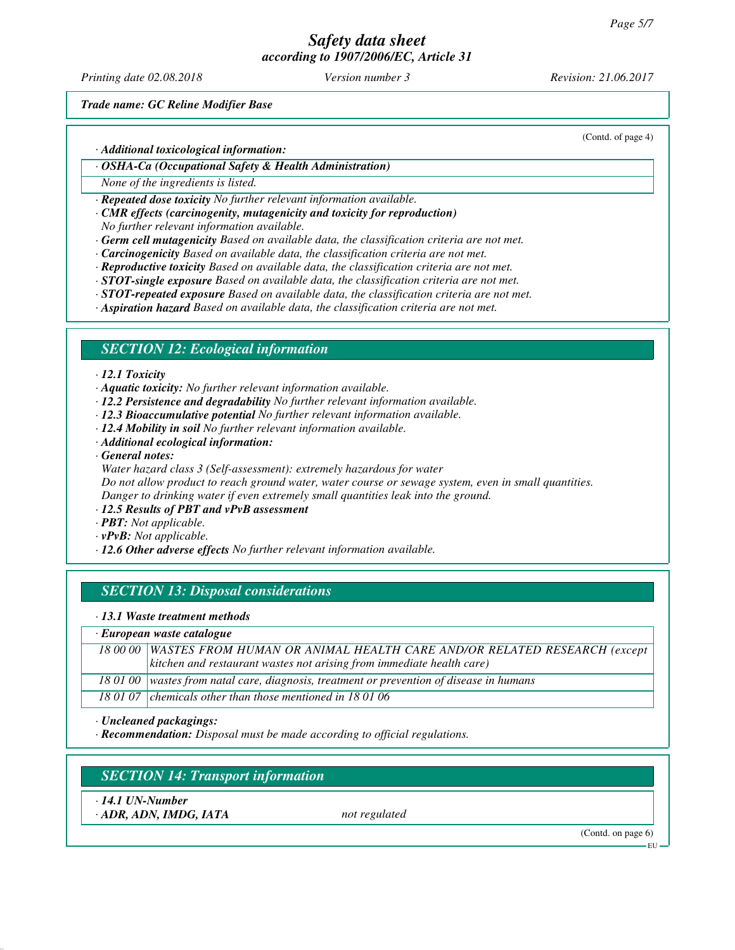*Printing date 02.08.2018 Version number 3 Revision: 21.06.2017*

(Contd. of page 4)

*Trade name: GC Reline Modifier Base*

*· Additional toxicological information:*

*· OSHA-Ca (Occupational Safety & Health Administration)*

*None of the ingredients is listed.*

*· Repeated dose toxicity No further relevant information available.*

*· CMR effects (carcinogenity, mutagenicity and toxicity for reproduction)*

*No further relevant information available.*

*· Germ cell mutagenicity Based on available data, the classification criteria are not met.*

- *· Carcinogenicity Based on available data, the classification criteria are not met.*
- *· Reproductive toxicity Based on available data, the classification criteria are not met.*

*· STOT-single exposure Based on available data, the classification criteria are not met.*

*· STOT-repeated exposure Based on available data, the classification criteria are not met.*

*· Aspiration hazard Based on available data, the classification criteria are not met.*

## *SECTION 12: Ecological information*

#### *· 12.1 Toxicity*

*· Aquatic toxicity: No further relevant information available.*

- *· 12.2 Persistence and degradability No further relevant information available.*
- *· 12.3 Bioaccumulative potential No further relevant information available.*
- *· 12.4 Mobility in soil No further relevant information available.*
- *· Additional ecological information:*
- *· General notes:*

*Water hazard class 3 (Self-assessment): extremely hazardous for water Do not allow product to reach ground water, water course or sewage system, even in small quantities. Danger to drinking water if even extremely small quantities leak into the ground.*

- *· 12.5 Results of PBT and vPvB assessment*
- *· PBT: Not applicable.*
- *· vPvB: Not applicable.*

*· 12.6 Other adverse effects No further relevant information available.*

# *SECTION 13: Disposal considerations*

*· 13.1 Waste treatment methods*

### *· European waste catalogue*

|  | 18 00 00 WASTES FROM HUMAN OR ANIMAL HEALTH CARE AND/OR RELATED RESEARCH (except         |  |  |
|--|------------------------------------------------------------------------------------------|--|--|
|  | $\vert$ kitchen and restaurant wastes not arising from immediate health care)            |  |  |
|  | 18 01 00 wastes from natal care, diagnosis, treatment or prevention of disease in humans |  |  |
|  | 18 01 07 chemicals other than those mentioned in 18 01 06                                |  |  |

*· Uncleaned packagings:*

*· Recommendation: Disposal must be made according to official regulations.*

# *SECTION 14: Transport information*

*· 14.1 UN-Number*

*· ADR, ADN, IMDG, IATA not regulated*

(Contd. on page 6)

EU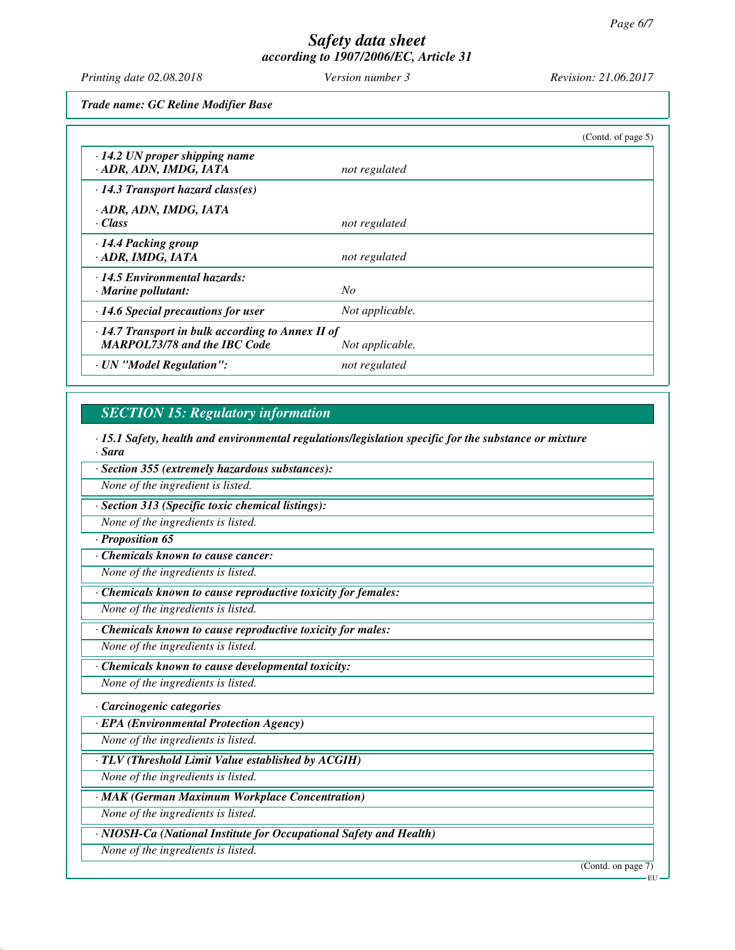*Printing date 02.08.2018 Version number 3 Revision: 21.06.2017*

*Trade name: GC Reline Modifier Base*

|                                                                                                |                 | (Contd. of page 5) |
|------------------------------------------------------------------------------------------------|-----------------|--------------------|
| $\cdot$ 14.2 UN proper shipping name<br>· ADR, ADN, IMDG, IATA                                 | not regulated   |                    |
| $\cdot$ 14.3 Transport hazard class(es)                                                        |                 |                    |
| · ADR, ADN, IMDG, IATA<br>· Class                                                              | not regulated   |                    |
| · 14.4 Packing group<br>· ADR, IMDG, IATA                                                      | not regulated   |                    |
| · 14.5 Environmental hazards:<br>$\cdot$ Marine pollutant:                                     | N <sub>O</sub>  |                    |
| $\cdot$ 14.6 Special precautions for user                                                      | Not applicable. |                    |
| $\cdot$ 14.7 Transport in bulk according to Annex II of<br><b>MARPOL73/78 and the IBC Code</b> | Not applicable. |                    |
| · UN "Model Regulation":                                                                       | not regulated   |                    |

# *SECTION 15: Regulatory information*

*· 15.1 Safety, health and environmental regulations/legislation specific for the substance or mixture · Sara*

*· Section 355 (extremely hazardous substances):*

*None of the ingredient is listed.*

*· Section 313 (Specific toxic chemical listings):*

*None of the ingredients is listed.*

## *· Proposition 65*

*· Chemicals known to cause cancer:*

*None of the ingredients is listed.*

*· Chemicals known to cause reproductive toxicity for females:*

*None of the ingredients is listed.*

*· Chemicals known to cause reproductive toxicity for males:*

*None of the ingredients is listed.*

*· Chemicals known to cause developmental toxicity:*

*None of the ingredients is listed.*

## *· Carcinogenic categories*

*· EPA (Environmental Protection Agency)*

*None of the ingredients is listed.*

*· TLV (Threshold Limit Value established by ACGIH)*

*None of the ingredients is listed.*

*· MAK (German Maximum Workplace Concentration)*

*None of the ingredients is listed.*

*· NIOSH-Ca (National Institute for Occupational Safety and Health)*

*None of the ingredients is listed.*

(Contd. on page 7)

EU